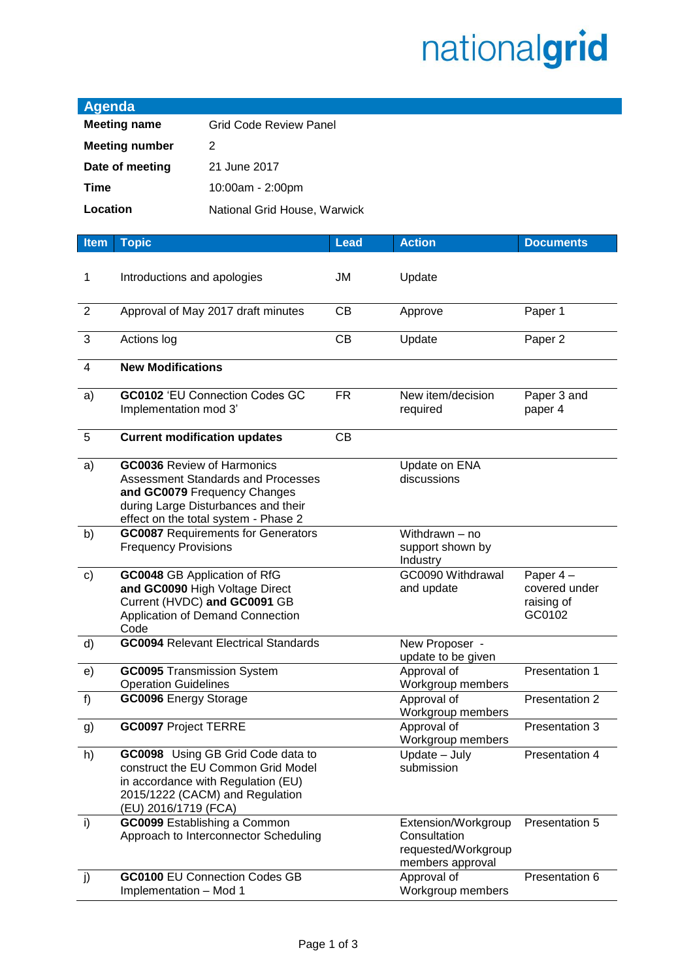## nationalgrid

| <b>Agenda</b>                            |                                                                  |                                                                                                                                                          |             |                                                                                |                                                   |  |  |
|------------------------------------------|------------------------------------------------------------------|----------------------------------------------------------------------------------------------------------------------------------------------------------|-------------|--------------------------------------------------------------------------------|---------------------------------------------------|--|--|
| <b>Meeting name</b>                      |                                                                  | <b>Grid Code Review Panel</b>                                                                                                                            |             |                                                                                |                                                   |  |  |
| <b>Meeting number</b>                    |                                                                  | 2                                                                                                                                                        |             |                                                                                |                                                   |  |  |
| Date of meeting<br>21 June 2017          |                                                                  |                                                                                                                                                          |             |                                                                                |                                                   |  |  |
| <b>Time</b>                              |                                                                  |                                                                                                                                                          |             |                                                                                |                                                   |  |  |
| 10:00am - 2:00pm                         |                                                                  |                                                                                                                                                          |             |                                                                                |                                                   |  |  |
| Location<br>National Grid House, Warwick |                                                                  |                                                                                                                                                          |             |                                                                                |                                                   |  |  |
| <b>Item</b>                              | <b>Topic</b>                                                     |                                                                                                                                                          | <b>Lead</b> | <b>Action</b>                                                                  | <b>Documents</b>                                  |  |  |
| 1                                        | Introductions and apologies                                      |                                                                                                                                                          | JM          | Update                                                                         |                                                   |  |  |
| $\overline{2}$                           |                                                                  | Approval of May 2017 draft minutes                                                                                                                       | CB          | Approve                                                                        | Paper 1                                           |  |  |
| $\mathbf{3}$                             | Actions log                                                      |                                                                                                                                                          | CB          | Update                                                                         | Paper 2                                           |  |  |
| $\overline{4}$                           | <b>New Modifications</b>                                         |                                                                                                                                                          |             |                                                                                |                                                   |  |  |
| a)                                       | Implementation mod 3'                                            | <b>GC0102 'EU Connection Codes GC</b>                                                                                                                    | <b>FR</b>   | New item/decision<br>required                                                  | Paper 3 and<br>paper 4                            |  |  |
| $\overline{5}$                           |                                                                  | <b>Current modification updates</b>                                                                                                                      | CB          |                                                                                |                                                   |  |  |
| a)                                       | <b>GC0036 Review of Harmonics</b>                                | <b>Assessment Standards and Processes</b><br>and GC0079 Frequency Changes<br>during Large Disturbances and their<br>effect on the total system - Phase 2 |             | Update on ENA<br>discussions                                                   |                                                   |  |  |
| b)                                       | <b>Frequency Provisions</b>                                      | <b>GC0087 Requirements for Generators</b>                                                                                                                |             | Withdrawn - no<br>support shown by<br>Industry                                 |                                                   |  |  |
| $\mathsf{c})$                            | Code                                                             | GC0048 GB Application of RfG<br>and GC0090 High Voltage Direct<br>Current (HVDC) and GC0091 GB<br>Application of Demand Connection                       |             | GC0090 Withdrawal<br>and update                                                | Paper 4-<br>covered under<br>raising of<br>GC0102 |  |  |
| d)                                       |                                                                  | <b>GC0094 Relevant Electrical Standards</b>                                                                                                              |             | New Proposer -<br>update to be given                                           |                                                   |  |  |
| e)                                       | <b>GC0095</b> Transmission System<br><b>Operation Guidelines</b> |                                                                                                                                                          |             | Approval of<br>Workgroup members                                               | Presentation 1                                    |  |  |
| f)                                       | <b>GC0096</b> Energy Storage                                     |                                                                                                                                                          |             | Approval of<br>Workgroup members                                               | Presentation 2                                    |  |  |
| g)                                       | <b>GC0097 Project TERRE</b>                                      |                                                                                                                                                          |             | Approval of<br>Workgroup members                                               | Presentation 3                                    |  |  |
| h)                                       | (EU) 2016/1719 (FCA)                                             | GC0098 Using GB Grid Code data to<br>construct the EU Common Grid Model<br>in accordance with Regulation (EU)<br>2015/1222 (CACM) and Regulation         |             | Update - July<br>submission                                                    | Presentation 4                                    |  |  |
| i)                                       |                                                                  | GC0099 Establishing a Common<br>Approach to Interconnector Scheduling                                                                                    |             | Extension/Workgroup<br>Consultation<br>requested/Workgroup<br>members approval | Presentation 5                                    |  |  |
| j)                                       | Implementation - Mod 1                                           | <b>GC0100 EU Connection Codes GB</b>                                                                                                                     |             | Approval of<br>Workgroup members                                               | Presentation 6                                    |  |  |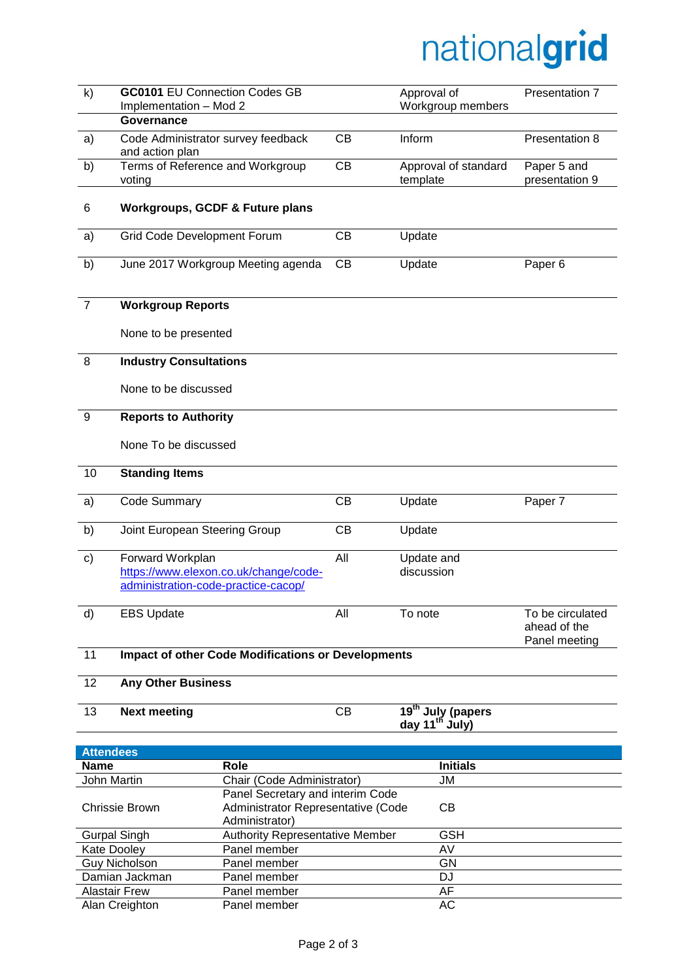## nationalgrid

| $\mathsf{k}$                           | <b>GC0101 EU Connection Codes GB</b><br>Implementation - Mod 2<br>Governance                     |                                                                                                       |     | Approval of<br>Workgroup members                     | Presentation 7                   |  |
|----------------------------------------|--------------------------------------------------------------------------------------------------|-------------------------------------------------------------------------------------------------------|-----|------------------------------------------------------|----------------------------------|--|
| a)                                     | Code Administrator survey feedback<br>and action plan                                            |                                                                                                       | CB  | Inform                                               | Presentation 8                   |  |
| b)                                     | Terms of Reference and Workgroup<br>voting                                                       |                                                                                                       | CB  | Approval of standard<br>template                     | Paper 5 and<br>presentation 9    |  |
| 6                                      |                                                                                                  | <b>Workgroups, GCDF &amp; Future plans</b>                                                            |     |                                                      |                                  |  |
| a)                                     | Grid Code Development Forum                                                                      |                                                                                                       | CB  | Update                                               |                                  |  |
| b)                                     |                                                                                                  | June 2017 Workgroup Meeting agenda                                                                    | CB  | Update                                               | Paper <sub>6</sub>               |  |
| $\overline{7}$                         | <b>Workgroup Reports</b>                                                                         |                                                                                                       |     |                                                      |                                  |  |
|                                        | None to be presented                                                                             |                                                                                                       |     |                                                      |                                  |  |
| 8                                      | <b>Industry Consultations</b>                                                                    |                                                                                                       |     |                                                      |                                  |  |
|                                        | None to be discussed                                                                             |                                                                                                       |     |                                                      |                                  |  |
| 9                                      | <b>Reports to Authority</b>                                                                      |                                                                                                       |     |                                                      |                                  |  |
|                                        |                                                                                                  |                                                                                                       |     |                                                      |                                  |  |
|                                        | None To be discussed                                                                             |                                                                                                       |     |                                                      |                                  |  |
| 10                                     | <b>Standing Items</b>                                                                            |                                                                                                       |     |                                                      |                                  |  |
| a)                                     | <b>Code Summary</b>                                                                              |                                                                                                       | CB  | Update                                               | Paper 7                          |  |
| b)                                     | Joint European Steering Group                                                                    |                                                                                                       | CB  | Update                                               |                                  |  |
| c)                                     | Forward Workplan<br>https://www.elexon.co.uk/change/code-<br>administration-code-practice-cacop/ |                                                                                                       | All | Update and<br>discussion                             |                                  |  |
| d)                                     | <b>EBS Update</b>                                                                                |                                                                                                       | All | To note                                              | To be circulated<br>ahead of the |  |
| 11                                     | Panel meeting<br><b>Impact of other Code Modifications or Developments</b>                       |                                                                                                       |     |                                                      |                                  |  |
| 12                                     | <b>Any Other Business</b>                                                                        |                                                                                                       |     |                                                      |                                  |  |
| 13                                     | <b>Next meeting</b>                                                                              |                                                                                                       | CB  | 19 <sup>th</sup> July (papers<br>day $11^{th}$ July) |                                  |  |
|                                        |                                                                                                  |                                                                                                       |     |                                                      |                                  |  |
| <b>Attendees</b><br><b>Name</b>        |                                                                                                  | Role                                                                                                  |     | <b>Initials</b>                                      |                                  |  |
|                                        |                                                                                                  | Chair (Code Administrator)                                                                            |     | JM                                                   |                                  |  |
| John Martin<br><b>Chrissie Brown</b>   |                                                                                                  | Panel Secretary and interim Code<br>Administrator Representative (Code<br><b>CB</b><br>Administrator) |     |                                                      |                                  |  |
| <b>Gurpal Singh</b>                    |                                                                                                  | <b>Authority Representative Member</b>                                                                |     | <b>GSH</b>                                           |                                  |  |
| Kate Dooley<br>Panel member            |                                                                                                  |                                                                                                       |     | AV                                                   |                                  |  |
| <b>Guy Nicholson</b>                   |                                                                                                  | Panel member<br>GN                                                                                    |     |                                                      |                                  |  |
| Damian Jackman                         |                                                                                                  | Panel member                                                                                          | DJ  |                                                      |                                  |  |
| <b>Alastair Frew</b><br>Alan Creighton |                                                                                                  | Panel member<br>Panel member                                                                          |     | AF<br>AC                                             |                                  |  |
|                                        |                                                                                                  |                                                                                                       |     |                                                      |                                  |  |